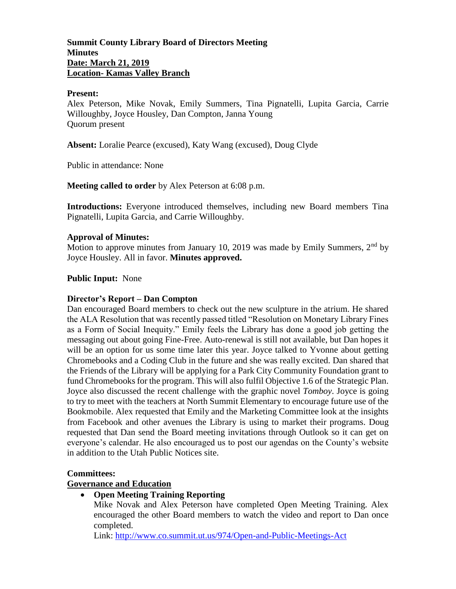## **Summit County Library Board of Directors Meeting Minutes Date: March 21, 2019 Location- Kamas Valley Branch**

#### **Present:**

Alex Peterson, Mike Novak, Emily Summers, Tina Pignatelli, Lupita Garcia, Carrie Willoughby, Joyce Housley, Dan Compton, Janna Young Quorum present

**Absent:** Loralie Pearce (excused), Katy Wang (excused), Doug Clyde

Public in attendance: None

**Meeting called to order** by Alex Peterson at 6:08 p.m.

**Introductions:** Everyone introduced themselves, including new Board members Tina Pignatelli, Lupita Garcia, and Carrie Willoughby.

#### **Approval of Minutes:**

Motion to approve minutes from January 10, 2019 was made by Emily Summers,  $2<sup>nd</sup>$  by Joyce Housley. All in favor. **Minutes approved.**

#### **Public Input:** None

## **Director's Report – Dan Compton**

Dan encouraged Board members to check out the new sculpture in the atrium. He shared the ALA Resolution that was recently passed titled "Resolution on Monetary Library Fines as a Form of Social Inequity." Emily feels the Library has done a good job getting the messaging out about going Fine-Free. Auto-renewal is still not available, but Dan hopes it will be an option for us some time later this year. Joyce talked to Yvonne about getting Chromebooks and a Coding Club in the future and she was really excited. Dan shared that the Friends of the Library will be applying for a Park City Community Foundation grant to fund Chromebooks for the program. This will also fulfil Objective 1.6 of the Strategic Plan. Joyce also discussed the recent challenge with the graphic novel *Tomboy*. Joyce is going to try to meet with the teachers at North Summit Elementary to encourage future use of the Bookmobile. Alex requested that Emily and the Marketing Committee look at the insights from Facebook and other avenues the Library is using to market their programs. Doug requested that Dan send the Board meeting invitations through Outlook so it can get on everyone's calendar. He also encouraged us to post our agendas on the County's website in addition to the Utah Public Notices site.

#### **Committees:**

#### **Governance and Education**

## **Open Meeting Training Reporting**

Mike Novak and Alex Peterson have completed Open Meeting Training. Alex encouraged the other Board members to watch the video and report to Dan once completed.

Link:<http://www.co.summit.ut.us/974/Open-and-Public-Meetings-Act>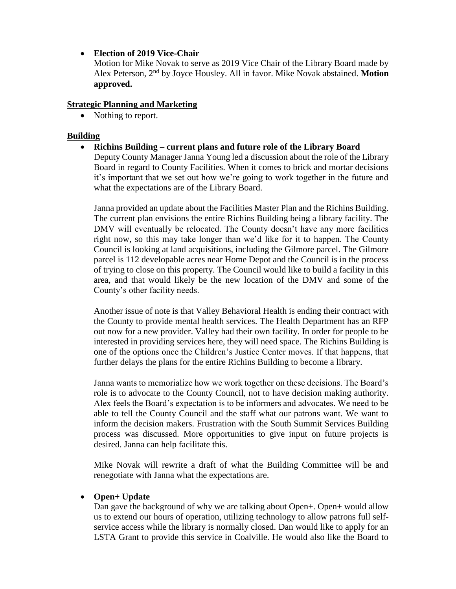# **Election of 2019 Vice-Chair**

Motion for Mike Novak to serve as 2019 Vice Chair of the Library Board made by Alex Peterson, 2nd by Joyce Housley. All in favor. Mike Novak abstained. **Motion approved.**

# **Strategic Planning and Marketing**

• Nothing to report.

# **Building**

**Richins Building – current plans and future role of the Library Board**

Deputy County Manager Janna Young led a discussion about the role of the Library Board in regard to County Facilities. When it comes to brick and mortar decisions it's important that we set out how we're going to work together in the future and what the expectations are of the Library Board.

Janna provided an update about the Facilities Master Plan and the Richins Building. The current plan envisions the entire Richins Building being a library facility. The DMV will eventually be relocated. The County doesn't have any more facilities right now, so this may take longer than we'd like for it to happen. The County Council is looking at land acquisitions, including the Gilmore parcel. The Gilmore parcel is 112 developable acres near Home Depot and the Council is in the process of trying to close on this property. The Council would like to build a facility in this area, and that would likely be the new location of the DMV and some of the County's other facility needs.

Another issue of note is that Valley Behavioral Health is ending their contract with the County to provide mental health services. The Health Department has an RFP out now for a new provider. Valley had their own facility. In order for people to be interested in providing services here, they will need space. The Richins Building is one of the options once the Children's Justice Center moves. If that happens, that further delays the plans for the entire Richins Building to become a library.

Janna wants to memorialize how we work together on these decisions. The Board's role is to advocate to the County Council, not to have decision making authority. Alex feels the Board's expectation is to be informers and advocates. We need to be able to tell the County Council and the staff what our patrons want. We want to inform the decision makers. Frustration with the South Summit Services Building process was discussed. More opportunities to give input on future projects is desired. Janna can help facilitate this.

Mike Novak will rewrite a draft of what the Building Committee will be and renegotiate with Janna what the expectations are.

## **Open+ Update**

Dan gave the background of why we are talking about Open+. Open+ would allow us to extend our hours of operation, utilizing technology to allow patrons full selfservice access while the library is normally closed. Dan would like to apply for an LSTA Grant to provide this service in Coalville. He would also like the Board to